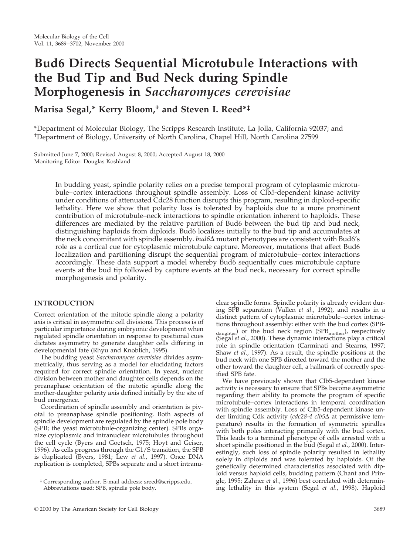# **Bud6 Directs Sequential Microtubule Interactions with the Bud Tip and Bud Neck during Spindle Morphogenesis in** *Saccharomyces cerevisiae*

# **Marisa Segal,\* Kerry Bloom,† and Steven I. Reed\*‡**

\*Department of Molecular Biology, The Scripps Research Institute, La Jolla, California 92037; and † Department of Biology, University of North Carolina, Chapel Hill, North Carolina 27599

Submitted June 7, 2000; Revised August 8, 2000; Accepted August 18, 2000 Monitoring Editor: Douglas Koshland

> In budding yeast, spindle polarity relies on a precise temporal program of cytoplasmic microtubule–cortex interactions throughout spindle assembly. Loss of Clb5-dependent kinase activity under conditions of attenuated Cdc28 function disrupts this program, resulting in diploid-specific lethality. Here we show that polarity loss is tolerated by haploids due to a more prominent contribution of microtubule–neck interactions to spindle orientation inherent to haploids. These differences are mediated by the relative partition of Bud6 between the bud tip and bud neck, distinguishing haploids from diploids. Bud6 localizes initially to the bud tip and accumulates at the neck concomitant with spindle assembly. *bud6*D mutant phenotypes are consistent with Bud6's role as a cortical cue for cytoplasmic microtubule capture. Moreover, mutations that affect Bud6 localization and partitioning disrupt the sequential program of microtubule–cortex interactions accordingly. These data support a model whereby Bud6 sequentially cues microtubule capture events at the bud tip followed by capture events at the bud neck, necessary for correct spindle morphogenesis and polarity.

# **INTRODUCTION**

Correct orientation of the mitotic spindle along a polarity axis is critical in asymmetric cell divisions. This process is of particular importance during embryonic development when regulated spindle orientation in response to positional cues dictates asymmetry to generate daughter cells differing in developmental fate (Rhyu and Knoblich, 1995).

The budding yeast *Saccharomyces cerevisiae* divides asymmetrically, thus serving as a model for elucidating factors required for correct spindle orientation. In yeast, nuclear division between mother and daughter cells depends on the preanaphase orientation of the mitotic spindle along the mother-daughter polarity axis defined initially by the site of bud emergence.

Coordination of spindle assembly and orientation is pivotal to preanaphase spindle positioning. Both aspects of spindle development are regulated by the spindle pole body (SPB; the yeast microtubule-organizing center). SPBs organize cytoplasmic and intranuclear microtubules throughout the cell cycle (Byers and Goetsch, 1975; Hoyt and Geiser, 1996). As cells progress through the G1/S transition, the SPB is duplicated (Byers, 1981; Lew *et al.*, 1997). Once DNA replication is completed, SPBs separate and a short intranuclear spindle forms. Spindle polarity is already evident during SPB separation (Vallen *et al.*, 1992), and results in a distinct pattern of cytoplasmic microtubule–cortex interactions throughout assembly: either with the bud cortex (SPBdaughter) or the bud neck region (SPB<sub>mother</sub>), respectively (Segal *et al.*, 2000). These dynamic interactions play a critical role in spindle orientation (Carminati and Stearns, 1997; Shaw *et al.*, 1997). As a result, the spindle positions at the bud neck with one SPB directed toward the mother and the other toward the daughter cell, a hallmark of correctly specified SPB fate.

We have previously shown that Clb5-dependent kinase activity is necessary to ensure that SPBs become asymmetric regarding their ability to promote the program of specific microtubule–cortex interactions in temporal coordination with spindle assembly. Loss of Clb5-dependent kinase under limiting Cdk activity (*cdc28-4 clb5*D at permissive temperature) results in the formation of symmetric spindles with both poles interacting primarily with the bud cortex. This leads to a terminal phenotype of cells arrested with a short spindle positioned in the bud (Segal *et al.*, 2000). Interestingly, such loss of spindle polarity resulted in lethality solely in diploids and was tolerated by haploids. Of the genetically determined characteristics associated with diploid versus haploid cells, budding pattern (Chant and Pringle, 1995; Zahner *et al.*, 1996) best correlated with determining lethality in this system (Segal *et al.*, 1998). Haploid

<sup>‡</sup> Corresponding author. E-mail address: sreed@scripps.edu. Abbreviations used: SPB, spindle pole body.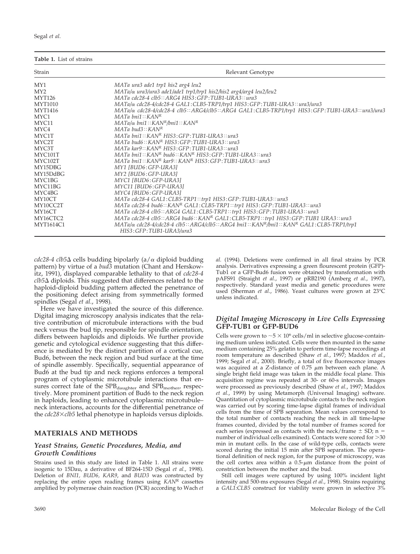| Segal et al. |  |  |
|--------------|--|--|
|--------------|--|--|

| Table 1. List of strains |
|--------------------------|
|--------------------------|

| Strain           | Relevant Genotype                                                                                                                                   |
|------------------|-----------------------------------------------------------------------------------------------------------------------------------------------------|
| MY1              | MATa ura3 ade1 trp1 his2 arg4 leu2                                                                                                                  |
| MY2              | $MATa/\alpha$ ura3/ura3 ade1/ade1 trp1/trp1 his2/his2 arg4/arg4 leu2/leu2                                                                           |
| MYT126           | MATa cdc28-4 clb5:: ARG4 HIS3: GFP: TUB1-URA3:: ura3                                                                                                |
| <b>MYT1010</b>   | MATa/ $\alpha$ cdc28-4/cdc28-4 GAL1: CLB5-TRP1/trp1 HIS3: GFP: TUB1-URA3:: ura3/ura3                                                                |
| <b>MYT1416</b>   | MATa/α cdc28-4/cdc28-4 clb5:: ARG4/clb5:: ARG4 GAL1: CLB5-TRP1/trp1 HIS3: GFP: TUB1-URA3:: ura3/ura3                                                |
| MYC1             | $MATA \text{ b}ni1::KAN^R$                                                                                                                          |
| MYC11            | $MATA/\alpha$ bni1:: $KAN^R/b$ ni1:: $KAN^R$                                                                                                        |
| MYC4             | $MATA$ bud $3::KAN^R$                                                                                                                               |
| MYC1T            | $MATA \; \text{b}ni1:KAN^R \; \text{HIS3}:GFP:TLIB1-URA3::\text{ura3}$                                                                              |
| MYC2T            | MATa bud6::KANR HIS3:GFP:TUB1-URA3::ura3                                                                                                            |
| MYC3T            | $MATA$ kar $9: KAN^R$ HIS3: GFP: TUB1-URA3:: ura3                                                                                                   |
| MYC101T          | $MATA \; bni1::KAN^R \; bud6::KAN^R \; HIS3:GFP: TUB1-URA3::ura3$                                                                                   |
| MYC102T          | $MATA \; bni1::KAN^R \; kar9::KAN^R \; HIS3: GFP: TUB1-URA3::ura3$                                                                                  |
| MY15DBG          | MY1 [BUD6: GFP-URA3]                                                                                                                                |
| MY15DdBG         | MY2 [BUD6: GFP-URA3]                                                                                                                                |
| MYC1BG           | MYC1 [BUD6:GFP-URA3]                                                                                                                                |
| MYC11BG          | MYC11 [BUD6: GFP-URA3]                                                                                                                              |
| MYC4BG           | MYC4 [BUD6:GFP-URA3]                                                                                                                                |
| MY10CT           | MATa cdc28-4 GAL1:CLB5-TRP1::trp1 HIS3:GFP:TUB1-URA3::ura3                                                                                          |
| MY10CC2T         | MATa cdc28-4 bud6::KANR GAL1:CLB5-TRP1::trp1 HIS3:GFP:TUB1-URA3::ura3                                                                               |
| MY16CT           | MATa cdc28-4 clb5:: ARG4 GAL1: CLB5-TRP1:: trp1 HIS3: GFP: TUB1-URA3:: ura3                                                                         |
| MY16CTC2         | MATa cdc28-4 clb5:: ARG4 bud6:: KANR GAL1: CLB5-TRP1:: trp1 HIS3: GFP: TUB1 URA3:: ura3                                                             |
| <b>MYT1614C1</b> | $MATA/\alpha$ cdc28-4/cdc28-4 clb5::ARG4/clb5::ARG4 bni1::KAN <sup>R</sup> /bni1::KAN <sup>R</sup> GAL1:CLB5-TRP1/trp1<br>HIS3: GFP: TUB1-URA3/ura3 |

 $cdc28-4$   $clb5\Delta$  cells budding bipolarly (a/ $\alpha$  diploid budding pattern) by virtue of a *bud3* mutation (Chant and Herskowitz, 1991), displayed comparable lethality to that of *cdc28-4 clb5*D diploids. This suggested that differences related to the haploid-diploid budding pattern affected the penetrance of the positioning defect arising from symmetrically formed spindles (Segal *et al.*, 1998).

Here we have investigated the source of this difference. Digital imaging microscopy analysis indicates that the relative contribution of microtubule interactions with the bud neck versus the bud tip, responsible for spindle orientation, differs between haploids and diploids. We further provide genetic and cytological evidence suggesting that this difference is mediated by the distinct partition of a cortical cue, Bud6, between the neck region and bud surface at the time of spindle assembly. Specifically, sequential appearance of Bud6 at the bud tip and neck regions enforces a temporal program of cytoplasmic microtubule interactions that ensures correct fate of the SPB<sub>daughter</sub> and SPB<sub>mother</sub>, respectively. More prominent partition of Bud6 to the neck region in haploids, leading to enhanced cytoplasmic microtubule– neck interactions, accounts for the differential penetrance of the *cdc28*3*clb5* lethal phenotype in haploids versus diploids.

## **MATERIALS AND METHODS**

#### *Yeast Strains, Genetic Procedures, Media, and Growth Conditions*

Strains used in this study are listed in Table 1. All strains were isogenic to 15Dau, a derivative of BF264-15D (Segal *et al.*, 1998). Deletion of *BNI1, BUD6, KAR9*, and *BUD3* was constructed by replacing the entire open reading frames using *KAN*<sup>R</sup> cassettes amplified by polymerase chain reaction (PCR) according to Wach *et* *al.* (1994). Deletions were confirmed in all final strains by PCR analysis. Derivatives expressing a green flourescent protein (GFP)- Tub1 or a GFP-Bud6 fusion were obtained by transformation with pAFS91 (Straight *et al.*, 1997) or pRB2190 (Amberg *et al.*, 1997), respectively. Standard yeast media and genetic procedures were used (Sherman *et al.*, 1986). Yeast cultures were grown at 23°C unless indicated.

## *Digital Imaging Microscopy in Live Cells Expressing* **GFP-TUB1 or GFP-BUD6**

Cells were grown to  $\sim$  5  $\times$  10<sup>6</sup> cells/ml in selective glucose-containing medium unless indicated. Cells were then mounted in the same medium containing 25% gelatin to perform time-lapse recordings at room temperature as described (Shaw *et al.*, 1997; Maddox *et al.*, 1999; Segal *et al.*, 2000). Briefly, a total of five fluorescence images was acquired at a Z-distance of 0.75  $\mu$ m between each plane. A single bright field image was taken in the middle focal plane. This acquisition regime was repeated at 30- or 60-s intervals. Images were processed as previously described (Shaw *et al.*, 1997; Maddox *et al.*, 1999) by using Metamorph (Universal Imaging) software. Quantitation of cytoplasmic microtubule contacts to the neck region was carried out by scoring time-lapse digital frames of individual cells from the time of SPB separation. Mean values correspond to the total number of contacts reaching the neck in all time-lapse frames counted, divided by the total number of frames scored for each series (expressed as contacts with the neck/frame  $\pm$  SD; n = number of individual cells examined). Contacts were scored for  $>30$ min in mutant cells. In the case of wild-type cells, contacts were scored during the initial 15 min after SPB separation. The operational definition of neck region, for the purpose of microscopy, was the cell cortex area within a  $0.5$ - $\mu$ m distance from the point of constriction between the mother and the bud.

Still cell images were captured by using 100% incident light intensity and 500-ms exposures (Segal *et al.*, 1998). Strains requiring a *GAL1:CLB5* construct for viability were grown in selective 3%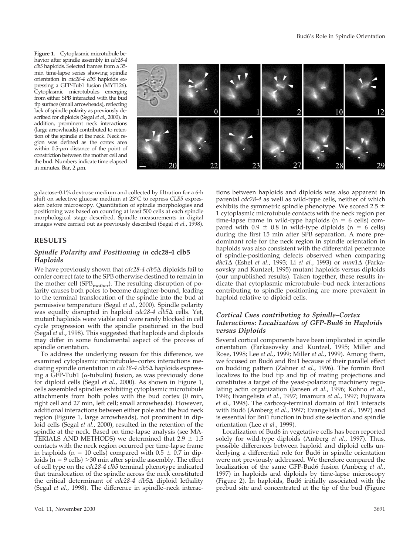**Figure 1.** Cytoplasmic microtubule behavior after spindle assembly in *cdc28-4 clb5* haploids. Selected frames from a 35 min time-lapse series showing spindle orientation in *cdc28-4 clb5* haploids expressing a GFP-Tub1 fusion (MYT126). Cytoplasmic microtubules emerging from either SPB interacted with the bud tip surface (small arrowheads), reflecting lack of spindle polarity as previously described for diploids (Segal *et al.*, 2000). In addition, prominent neck interactions (large arrowheads) contributed to retention of the spindle at the neck. Neck region was defined as the cortex area within  $0.5$ - $\mu$ m distance of the point of constriction between the mother cell and the bud. Numbers indicate time elapsed in minutes. Bar,  $2 \mu m$ .



galactose-0.1% dextrose medium and collected by filtration for a 6-h shift on selective glucose medium at 23°C to repress *CLB5* expression before microscopy. Quantitation of spindle morphologies and positioning was based on counting at least 500 cells at each spindle morphological stage described. Spindle measurements in digital images were carried out as previously described (Segal *et al.*, 1998).

#### **RESULTS**

#### *Spindle Polarity and Positioning in* **cdc28-4 clb5** *Haploids*

We have previously shown that *cdc28-4 clb5*∆ diploids fail to confer correct fate to the SPB otherwise destined to remain in the mother cell (SPB $_{\rm mother}$ ). The resulting disruption of polarity causes both poles to become daughter-bound, leading to the terminal translocation of the spindle into the bud at permissive temperature (Segal *et al.*, 2000). Spindle polarity was equally disrupted in haploid *cdc28-4 clb5*D cells. Yet, mutant haploids were viable and were rarely blocked in cell cycle progression with the spindle positioned in the bud (Segal *et al.*, 1998). This suggested that haploids and diploids may differ in some fundamental aspect of the process of spindle orientation.

To address the underlying reason for this difference, we examined cytoplasmic microtubule–cortex interactions mediating spindle orientation in *cdc28-4 clb5*D haploids expressing a GFP-Tub1 ( $\alpha$ -tubulin) fusion, as was previously done for diploid cells (Segal *et al.*, 2000). As shown in Figure 1, cells assembled spindles exhibiting cytoplasmic microtubule attachments from both poles with the bud cortex (0 min, right cell and 27 min, left cell; small arrowheads). However, additional interactions between either pole and the bud neck region (Figure 1, large arrowheads), not prominent in diploid cells (Segal *et al.*, 2000), resulted in the retention of the spindle at the neck. Based on time-lapse analysis (see MA-TERIALS AND METHODS) we determined that 2.9  $\pm$  1.5 contacts with the neck region occurred per time-lapse frame in haploids (n = 10 cells) compared with  $0.5 \pm 0.7$  in diploids ( $n = 9$  cells)  $>30$  min after spindle assembly. The effect of cell type on the *cdc28-4 clb5* terminal phenotype indicated that translocation of the spindle across the neck constituted the critical determinant of *cdc28-4 clb5*D diploid lethality (Segal *et al.*, 1998). The difference in spindle–neck interac-

time-lapse frame in wild-type haploids ( $n = 6$  cells) compared with  $0.9 \pm 0.8$  in wild-type diploids (n = 6 cells) during the first 15 min after SPB separation. A more predominant role for the neck region in spindle orientation in haploids was also consistent with the differential penetrance of spindle-positioning defects observed when comparing *dhc1*D (Eshel *et al.*, 1993; Li *et al.*, 1993) or *num1*D (Farkasovsky and Kuntzel, 1995) mutant haploids versus diploids (our unpublished results). Taken together, these results indicate that cytoplasmic microtubule–bud neck interactions contributing to spindle positioning are more prevalent in haploid relative to diploid cells. *Cortical Cues contributing to Spindle–Cortex Interactions: Localization of GFP-Bud6 in Haploids versus Diploids*

tions between haploids and diploids was also apparent in parental *cdc28-4* as well as wild-type cells, neither of which exhibits the symmetric spindle phenotype. We scored 2.5  $\pm$ 1 cytoplasmic microtubule contacts with the neck region per

Several cortical components have been implicated in spindle orientation (Farkasovsky and Kuntzel, 1995; Miller and Rose, 1998; Lee *et al.*, 1999; Miller *et al.*, 1999). Among them, we focused on Bud6 and Bni1 because of their parallel effect on budding pattern (Zahner *et al.*, 1996). The formin Bni1 localizes to the bud tip and tip of mating projections and constitutes a target of the yeast-polarizing machinery regulating actin organization (Jansen *et al.*, 1996; Kohno *et al.*, 1996; Evangelista *et al.*, 1997; Imamura *et al.*, 1997; Fujiwara *et al.*, 1998). The carboxy-terminal domain of Bni1 interacts with Bud6 (Amberg *et al.*, 1997; Evangelista *et al.*, 1997) and is essential for Bni1 function in bud site selection and spindle orientation (Lee *et al.*, 1999).

Localization of Bud6 in vegetative cells has been reported solely for wild-type diploids (Amberg *et al.*, 1997). Thus, possible differences between haploid and diploid cells underlying a differential role for Bud6 in spindle orientation were not previously addressed. We therefore compared the localization of the same GFP-Bud6 fusion (Amberg *et al.*, 1997) in haploids and diploids by time-lapse microscopy (Figure 2). In haploids, Bud6 initially associated with the prebud site and concentrated at the tip of the bud (Figure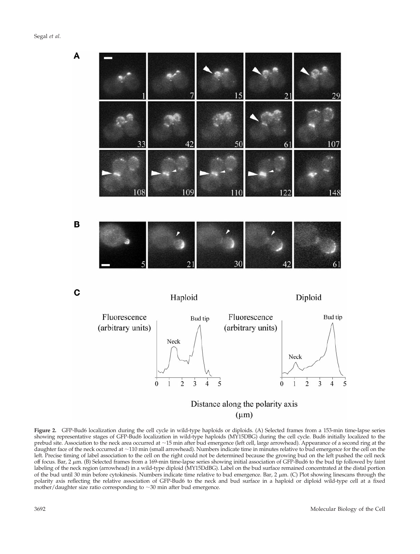A 15  $21$ 29 50 33 42 107 6 B C Haploid Diploid Fluorescence Fluorescence Bud tip Bud tip (arbitrary units) (arbitrary units) Neck Neck  $\overline{2}$ 3 5  $\mathbf{0}$ 1 4 5 0 2 3  $\overline{4}$ Distance along the polarity axis

 $(\mu m)$ 

**Figure 2.** GFP-Bud6 localization during the cell cycle in wild-type haploids or diploids. (A) Selected frames from a 153-min time-lapse series showing representative stages of GFP-Bud6 localization in wild-type haploids (MY15DBG) during the cell cycle. Bud6 initially localized to the prebud site. Association to the neck area occurred at  $\sim$ 15 min after bud emergence (left cell, large arrowhead). Appearance of a second ring at the daughter face of the neck occurred at  $\sim$ 110 min (small arrowhead). Numbers indicate time in minutes relative to bud emergence for the cell on the left. Precise timing of label association to the cell on the right could not be determined because the growing bud on the left pushed the cell neck off focus. Bar,  $2 \mu m$ . (B) Selected frames from a 169-min time-lapse series showing initial association of GFP-Bud6 to the bud tip followed by faint labeling of the neck region (arrowhead) in a wild-type diploid (MY15DdBG). Label on the bud surface remained concentrated at the distal portion of the bud until 30 min before cytokinesis. Numbers indicate time relative to bud emergence. Bar,  $2 \mu m$ . (C) Plot showing linescans through the polarity axis reflecting the relative association of GFP-Bud6 to the neck and bud surface in a haploid or diploid wild-type cell at a fixed mother/daughter size ratio corresponding to  $\sim$ 30 min after bud emergence.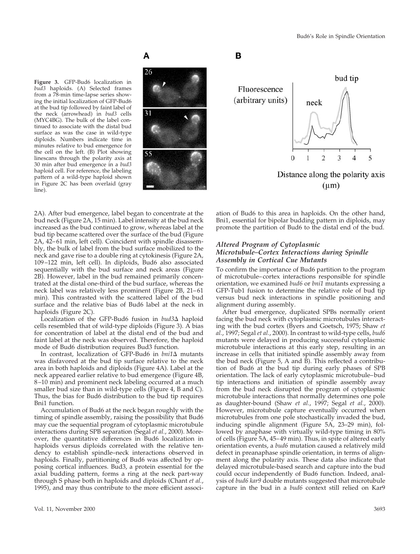**Figure 3.** GFP-Bud6 localization in *bud3* haploids. (A) Selected frames from a 78-min time-lapse series showing the initial localization of GFP-Bud6 at the bud tip followed by faint label of the neck (arrowhead) in *bud3* cells (MYC4BG). The bulk of the label continued to associate with the distal bud surface as was the case in wild-type diploids. Numbers indicate time in minutes relative to bud emergence for the cell on the left. (B) Plot showing linescans through the polarity axis at 30 min after bud emergence in a *bud3* haploid cell. For reference, the labeling pattern of a wild-type haploid shown in Figure 2C has been overlaid (gray line).

# A



# в



2A). After bud emergence, label began to concentrate at the bud neck (Figure 2A, 15 min). Label intensity at the bud neck increased as the bud continued to grow, whereas label at the bud tip became scattered over the surface of the bud (Figure 2A, 42–61 min, left cell). Coincident with spindle disassembly, the bulk of label from the bud surface mobilized to the neck and gave rise to a double ring at cytokinesis (Figure 2A, 109–122 min, left cell). In diploids, Bud6 also associated sequentially with the bud surface and neck areas (Figure 2B). However, label in the bud remained primarily concentrated at the distal one-third of the bud surface, whereas the neck label was relatively less prominent (Figure 2B, 21–61 min). This contrasted with the scattered label of the bud surface and the relative bias of Bud6 label at the neck in haploids (Figure 2C).

Localization of the GFP-Bud6 fusion in *bud3*∆ haploid cells resembled that of wild-type diploids (Figure 3). A bias for concentration of label at the distal end of the bud and faint label at the neck was observed. Therefore, the haploid mode of Bud6 distribution requires Bud3 function.

In contrast, localization of GFP-Bud6 in *bni1*D mutants was disfavored at the bud tip surface relative to the neck area in both haploids and diploids (Figure 4A). Label at the neck appeared earlier relative to bud emergence (Figure 4B, 8–10 min) and prominent neck labeling occurred at a much smaller bud size than in wild-type cells (Figure 4, B and C). Thus, the bias for Bud6 distribution to the bud tip requires Bni1 function.

Accumulation of Bud6 at the neck began roughly with the timing of spindle assembly, raising the possibility that Bud6 may cue the sequential program of cytoplasmic microtubule interactions during SPB separation (Segal *et al.*, 2000). Moreover, the quantitative differences in Bud6 localization in haploids versus diploids correlated with the relative tendency to establish spindle–neck interactions observed in haploids. Finally, partitioning of Bud6 was affected by opposing cortical influences. Bud3, a protein essential for the axial budding pattern, forms a ring at the neck part-way through S phase both in haploids and diploids (Chant *et al.*, 1995), and may thus contribute to the more efficient association of Bud6 to this area in haploids. On the other hand, Bni1, essential for bipolar budding pattern in diploids, may promote the partition of Bud6 to the distal end of the bud.

#### *Altered Program of Cytoplasmic Microtubule–Cortex Interactions during Spindle Assembly in Cortical Cue Mutants*

To confirm the importance of Bud6 partition to the program of microtubule–cortex interactions responsible for spindle orientation, we examined *bud6* or *bni1* mutants expressing a GFP-Tub1 fusion to determine the relative role of bud tip versus bud neck interactions in spindle positioning and alignment during assembly.

After bud emergence, duplicated SPBs normally orient facing the bud neck with cytoplasmic microtubules interacting with the bud cortex (Byers and Goetsch, 1975; Shaw *et al.*, 1997; Segal *et al.*, 2000). In contrast to wild-type cells, *bud6* mutants were delayed in producing successful cytoplasmic microtubule interactions at this early step, resulting in an increase in cells that initiated spindle assembly away from the bud neck (Figure 5, A and B). This reflected a contribution of Bud6 at the bud tip during early phases of SPB orientation. The lack of early cytoplasmic microtubule–bud tip interactions and initiation of spindle assembly away from the bud neck disrupted the program of cytoplasmic microtubule interactions that normally determines one pole as daughter-bound (Shaw *et al.*, 1997; Segal *et al.*, 2000). However, microtubule capture eventually occurred when microtubules from one pole stochastically invaded the bud, inducing spindle alignment (Figure 5A, 23–29 min), followed by anaphase with virtually wild-type timing in 80% of cells (Figure 5A, 45–49 min). Thus, in spite of altered early orientation events, a *bud6* mutation caused a relatively mild defect in preanaphase spindle orientation, in terms of alignment along the polarity axis. These data also indicate that delayed microtubule-based search and capture into the bud could occur independently of Bud6 function. Indeed, analysis of *bud6 kar9* double mutants suggested that microtubule capture in the bud in a *bud6* context still relied on Kar9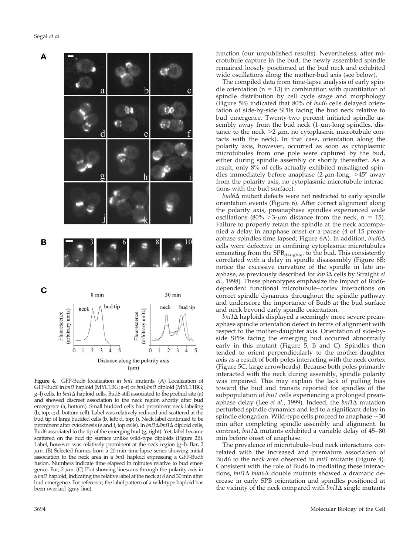

**Figure 4.** GFP-Bud6 localization in *bni1* mutants. (A) Localization of GFP-Bud6 in *bni1* haploid (MYC1BG; a–f) or *bni1/bni1* diploid (MYC11BG; g–l) cells. In *bni1*∆ haploid cells, Bud6 still associated to the prebud site (a) and showed discreet association to the neck region shortly after bud emergence (a, bottom). Small budded cells had prominent neck labeling (b, top; c; d, bottom cell). Label was relatively reduced and scattered at the bud tip of large budded cells (b, left; d, top; f). Neck label continued to be prominent after cytokinesis (e and f, top cells). In *bni1*D*/bni1*D diploid cells, Bud6 associated to the tip of the emerging bud (g, right). Yet, label became scattered on the bud tip surface unlike wild-type diploids (Figure 2B). Label, however was relatively prominent at the neck region (g–l). Bar, 2  $\mu$ m. (B) Selected frames from a 20-min time-lapse series showing initial association to the neck area in a *bni1* haploid expressing a GFP-Bud6 fusion. Numbers indicate time elapsed in minutes relative to bud emergence. Bar, 2  $\mu \textrm{m}$  (C) Plot showing linescans through the polarity axis in a *bni1* haploid, indicating the relative label at the neck at 8 and 30 min after bud emergence. For reference, the label pattern of a wild-type haploid has been overlaid (gray line).

function (our unpublished results). Nevertheless, after microtubule capture in the bud, the newly assembled spindle remained loosely positioned at the bud neck and exhibited wide oscillations along the mother-bud axis (see below).

The compiled data from time-lapse analysis of early spindle orientation ( $n = 13$ ) in combination with quantitation of spindle distribution by cell cycle stage and morphology (Figure 5B) indicated that 80% of *bud6* cells delayed orientation of side-by-side SPBs facing the bud neck relative to bud emergence. Twenty-two percent initiated spindle assembly away from the bud neck  $(1-\mu m$ -long spindles, distance to the neck  $>2 \mu m$ , no cytoplasmic microtubule contacts with the neck). In that case, orientation along the polarity axis, however, occurred as soon as cytoplasmic microtubules from one pole were captured by the bud, either during spindle assembly or shortly thereafter. As a result, only 8% of cells actually exhibited misaligned spindles immediately before anaphase (2- $\mu$ m-long, >45° away from the polarity axis, no cytoplasmic microtubule interactions with the bud surface).

*bud*6∆ mutant defects were not restricted to early spindle orientation events (Figure 6). After correct alignment along the polarity axis, preanaphase spindles experienced wide oscillations (80%  $\geq$ 3- $\mu$ m distance from the neck, n = 15). Failure to properly retain the spindle at the neck accompanied a delay in anaphase onset or a pause (4 of 15 preanaphase spindles time lapsed; Figure 6A). In addition, *bud6*D cells were defective in confining cytoplasmic microtubules emanating from the  $SPB_{\text{daughter}}$  to the bud. This consistently correlated with a delay in spindle disassembly (Figure 6B; notice the excessive curvature of the spindle in late anaphase, as previously described for *kip3*D cells by Straight *et al.*, 1998). These phenotypes emphasize the impact of Bud6 dependent functional microtubule–cortex interactions on correct spindle dynamics throughout the spindle pathway and underscore the importance of Bud6 at the bud surface and neck beyond early spindle orientation.

*bni1*∆ haploids displayed a seemingly more severe preanaphase spindle orientation defect in terms of alignment with respect to the mother-daughter axis. Orientation of side-byside SPBs facing the emerging bud occurred abnormally early in this mutant (Figure 5, B and C). Spindles then tended to orient perpendicularly to the mother-daughter axis as a result of both poles interacting with the neck cortex (Figure 5C, large arrowheads). Because both poles primarily interacted with the neck during assembly, spindle polarity was impaired. This may explain the lack of pulling bias toward the bud and transits reported for spindles of the subpopulation of *bni1* cells experiencing a prolonged preanaphase delay (Lee *et al.*, 1999). Indeed, the *bni1*D mutation perturbed spindle dynamics and led to a significant delay in spindle elongation. Wild-type cells proceed to anaphase  $\sim$ 30 min after completing spindle assembly and alignment. In contrast,  $bni1\Delta$  mutants exhibited a variable delay of  $45-80$ min before onset of anaphase.

The prevalence of microtubule–bud neck interactions correlated with the increased and premature association of Bud6 to the neck area observed in *bni1* mutants (Figure 4). Consistent with the role of Bud6 in mediating these interactions, *bni1*∆ *bud6*∆ double mutants showed a dramatic decrease in early SPB orientation and spindles positioned at the vicinity of the neck compared with  $\text{bni1}\Delta$  single mutants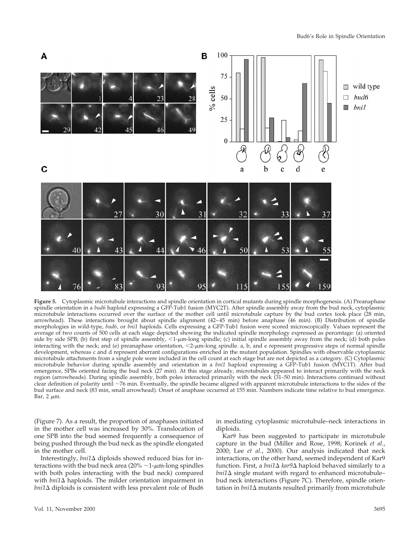

**Figure 5.** Cytoplasmic microtubule interactions and spindle orientation in cortical mutants during spindle morphogenesis. (A) Preanaphase spindle orientation in a *bud6* haploid expressing a GFP-Tub1 fusion (MYC2T). After spindle assembly away from the bud neck, cytoplasmic microtubule interactions occurred over the surface of the mother cell until microtubule capture by the bud cortex took place (28 min, arrowhead). These interactions brought about spindle alignment (42–45 min) before anaphase (46 min). (B) Distribution of spindle morphologies in wild-type, *bud6*, or *bni1* haploids. Cells expressing a GFP-Tub1 fusion were scored microscopically. Values represent the average of two counts of 500 cells at each stage depicted showing the indicated spindle morphology expressed as percentage: (a) oriented side by side SPB; (b) first step of spindle assembly,  $\lt 1$ - $\mu$ m-long spindle; (c) initial spindle assembly away from the neck; (d) both poles interacting with the neck; and (e) preanaphase orientation,  $\langle 2-\mu m$ -long spindle. a, b, and e represent progressive steps of normal spindle development, whereas c and d represent aberrant configurations enriched in the mutant population. Spindles with observable cytoplasmic microtubule attachments from a single pole were included in the cell count at each stage but are not depicted as a category. (C) Cytoplasmic microtubule behavior during spindle assembly and orientation in a *bni1* haploid expressing a GFP-Tub1 fusion (MYC1T). After bud emergence, SPBs oriented facing the bud neck (27 min). At this stage already, microtubules appeared to interact primarily with the neck region (arrowheads). During spindle assembly, both poles interacted primarily with the neck (31–50 min). Interactions continued without clear definition of polarity until ~76 min. Eventually, the spindle became aligned with apparent microtubule interactions to the sides of the bud surface and neck (83 min, small arrowhead). Onset of anaphase occurred at 155 min. Numbers indicate time relative to bud emergence.  $Bar. 2 \mu m$ .

(Figure 7). As a result, the proportion of anaphases initiated in the mother cell was increased by 30%. Translocation of one SPB into the bud seemed frequently a consequence of being pushed through the bud neck as the spindle elongated in the mother cell.

Interestingly, *bni1*D diploids showed reduced bias for interactions with the bud neck area ( $20\% \sim 1$ - $\mu$ m-long spindles with both poles interacting with the bud neck) compared with *bni1* $\Delta$  haploids. The milder orientation impairment in  $bni1\Delta$  diploids is consistent with less prevalent role of Bud6 in mediating cytoplasmic microtubule–neck interactions in diploids.

Kar9 has been suggested to participate in microtubule capture in the bud (Miller and Rose, 1998; Korinek *et al.*, 2000; Lee *et al.*, 2000). Our analysis indicated that neck interactions, on the other hand, seemed independent of Kar9 function. First, a *bni1*D *kar9*D haploid behaved similarly to a *bni1*∆ single mutant with regard to enhanced microtubule– bud neck interactions (Figure 7C). Therefore, spindle orientation in *bni1* $\Delta$  mutants resulted primarily from microtubule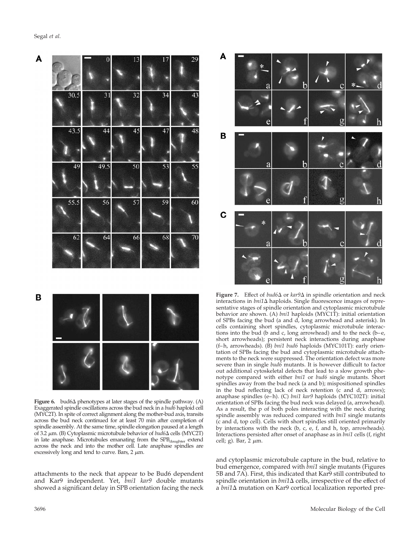

B



**Figure 6.** bud6 $\Delta$  phenotypes at later stages of the spindle pathway. (A) Exaggerated spindle oscillations across the bud neck in a *bud6* haploid cell (MYC2T). In spite of correct alignment along the mother-bud axis, transits across the bud neck continued for at least 70 min after completion of spindle assembly. At the same time, spindle elongation paused at a length of 3.2 <sup>m</sup>m. (B) Cytoplasmic microtubule behavior of *bud6*D cells (MYC2T) in late anaphase. Microtubules emanating from the SPB<sub>daughter</sub> extend across the neck and into the mother cell. Late anaphase spindles are excessively long and tend to curve. Bars,  $2 \mu m$ .

attachments to the neck that appear to be Bud6 dependent and Kar9 independent. Yet, *bni1 kar9* double mutants showed a significant delay in SPB orientation facing the neck



**Figure 7.** Effect of *bud6* $\Delta$  or *kar9* $\Delta$  in spindle orientation and neck interactions in *bni1*D haploids. Single fluorescence images of representative stages of spindle orientation and cytoplasmic microtubule behavior are shown. (A) *bni1* haploids (MYC1T): initial orientation of SPBs facing the bud (a and d, long arrowhead and asterisk). In cells containing short spindles, cytoplasmic microtubule interactions into the bud (b and c, long arrowhead) and to the neck (b–e, short arrowheads); persistent neck interactions during anaphase (f–h, arrowheads). (B) *bni1 bud6* haploids (MYC101T): early orientation of SPBs facing the bud and cytoplasmic microtubule attachments to the neck were suppressed. The orientation defect was more severe than in single *bud6* mutants. It is however difficult to factor out additional cytoskeletal defects that lead to a slow growth phenotype compared with either *bni1* or *bud6* single mutants. Short spindles away from the bud neck (a and b); mispositioned spindles in the bud reflecting lack of neck retention (c and d, arrows); anaphase spindles (e–h). (C) *bni1 kar9* haploids (MYC102T): initial orientation of SPBs facing the bud neck was delayed (a, arrowhead). As a result, the p of both poles interacting with the neck during spindle assembly was reduced compared with *bni1* single mutants (c and d, top cell). Cells with short spindles still oriented primarily by interactions with the neck (b, c, e, f, and h, top, arrowheads). Interactions persisted after onset of anaphase as in *bni1* cells (f, right cell; g). Bar,  $2 \mu m$ .

and cytoplasmic microtubule capture in the bud, relative to bud emergence, compared with *bni1* single mutants (Figures 5B and 7A). First, this indicated that Kar9 still contributed to spindle orientation in  $\text{bni1}\Delta$  cells, irrespective of the effect of a *bni1*D mutation on Kar9 cortical localization reported pre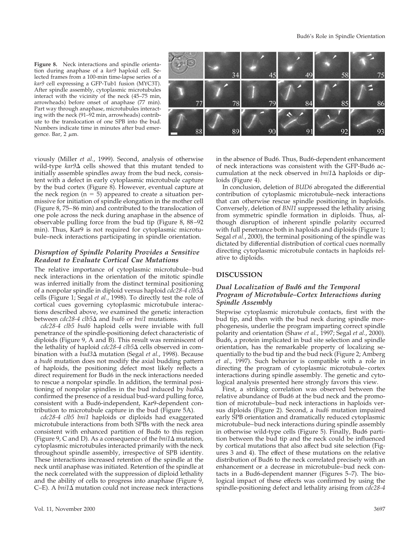**Figure 8.** Neck interactions and spindle orientation during anaphase of a *kar9* haploid cell. Selected frames from a 100-min time-lapse series of a *kar9* cell expressing a GFP-Tub1 fusion (MYC3T). After spindle assembly, cytoplasmic microtubules interact with the vicinity of the neck (45–75 min, arrowheads) before onset of anaphase (77 min). Part way through anaphase, microtubules interacting with the neck (91–92 min, arrowheads) contribute to the translocation of one SPB into the bud. Numbers indicate time in minutes after bud emergence. Bar,  $2 \mu m$ .



viously (Miller *et al.*, 1999). Second, analysis of otherwise wild-type  $kar9\Delta$  cells showed that this mutant tended to initially assemble spindles away from the bud neck, consistent with a defect in early cytoplasmic microtubule capture by the bud cortex (Figure 8). However, eventual capture at the neck region ( $n = 5$ ) appeared to create a situation permissive for initiation of spindle elongation in the mother cell (Figure 8, 75–86 min) and contributed to the translocation of one pole across the neck during anaphase in the absence of observable pulling force from the bud tip (Figure 8, 88–92 min). Thus, Kar9 is not required for cytoplasmic microtubule–neck interactions participating in spindle orientation.

#### *Disruption of Spindle Polarity Provides a Sensitive Readout to Evaluate Cortical Cue Mutations*

The relative importance of cytoplasmic microtubule–bud neck interactions in the orientation of the mitotic spindle was inferred initially from the distinct terminal positioning of a nonpolar spindle in diploid versus haploid *cdc28-4 clb5*D cells (Figure 1; Segal *et al.*, 1998). To directly test the role of cortical cues governing cytoplasmic microtubule interactions described above, we examined the genetic interaction between *cdc28-4 clb5*D and *bud6* or *bni1* mutations.

*cdc28-4 clb5 bud6* haploid cells were inviable with full penetrance of the spindle-positioning defect characteristic of diploids (Figure 9, A and B). This result was reminiscent of the lethality of haploid *cdc28-4 clb5*∆ cells observed in combination with a *bud3*D mutation (Segal *et al.*, 1998). Because a *bud6* mutation does not modify the axial budding pattern of haploids, the positioning defect most likely reflects a direct requirement for Bud6 in the neck interactions needed to rescue a nonpolar spindle. In addition, the terminal positioning of nonpolar spindles in the bud induced by  $bud6\Delta$ confirmed the presence of a residual bud-ward pulling force, consistent with a Bud6-independent, Kar9-dependent contribution to microtubule capture in the bud (Figure 5A).

*cdc28-4 clb5 bni1* haploids or diploids had exaggerated microtubule interactions from both SPBs with the neck area consistent with enhanced partition of Bud6 to this region (Figure 9, C and D). As a consequence of the *bni1*D mutation, cytoplasmic microtubules interacted primarily with the neck throughout spindle assembly, irrespective of SPB identity. These interactions increased retention of the spindle at the neck until anaphase was initiated. Retention of the spindle at the neck correlated with the suppression of diploid lethality and the ability of cells to progress into anaphase (Figure 9,  $C-E$ ). A *bni*1 $\Delta$  mutation could not increase neck interactions

in the absence of Bud6. Thus, Bud6-dependent enhancement of neck interactions was consistent with the GFP-Bud6 accumulation at the neck observed in  $\text{b}ni1\Delta$  haploids or diploids (Figure 4).

In conclusion, deletion of *BUD6* abrogated the differential contribution of cytoplasmic microtubule–neck interactions that can otherwise rescue spindle positioning in haploids. Conversely, deletion of *BNI1* suppressed the lethality arising from symmetric spindle formation in diploids. Thus, although disruption of inherent spindle polarity occurred with full penetrance both in haploids and diploids (Figure 1; Segal *et al.*, 2000), the terminal positioning of the spindle was dictated by differential distribution of cortical cues normally directing cytoplasmic microtubule contacts in haploids relative to diploids.

#### **DISCUSSION**

#### *Dual Localization of Bud6 and the Temporal Program of Microtubule–Cortex Interactions during Spindle Assembly*

Stepwise cytoplasmic microtubule contacts, first with the bud tip, and then with the bud neck during spindle morphogenesis, underlie the program imparting correct spindle polarity and orientation (Shaw *et al.*, 1997; Segal *et al.*, 2000). Bud6, a protein implicated in bud site selection and spindle orientation, has the remarkable property of localizing sequentially to the bud tip and the bud neck (Figure 2; Amberg *et al.*, 1997). Such behavior is compatible with a role in directing the program of cytoplasmic microtubule–cortex interactions during spindle assembly. The genetic and cytological analysis presented here strongly favors this view.

First, a striking correlation was observed between the relative abundance of Bud6 at the bud neck and the promotion of microtubule–bud neck interactions in haploids versus diploids (Figure 2). Second, a *bud6* mutation impaired early SPB orientation and dramatically reduced cytoplasmic microtubule–bud neck interactions during spindle assembly in otherwise wild-type cells (Figure 5). Finally, Bud6 partition between the bud tip and the neck could be influenced by cortical mutations that also affect bud site selection (Figures 3 and 4). The effect of these mutations on the relative distribution of Bud6 to the neck correlated precisely with an enhancement or a decrease in microtubule–bud neck contacts in a Bud6-dependent manner (Figures 5–7). The biological impact of these effects was confirmed by using the spindle-positioning defect and lethality arising from *cdc28-4*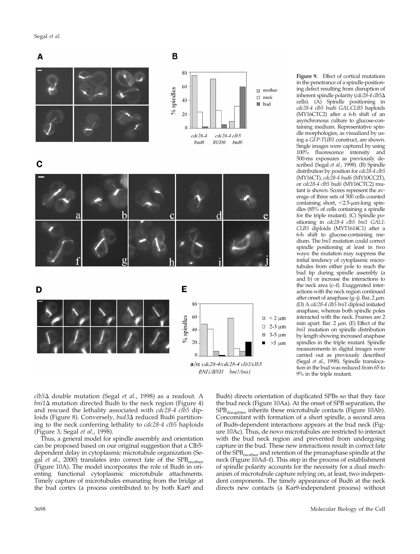Segal *et al*.



**Figure 9.** Effect of cortical mutations in the penetrance of a spindle-positioning defect resulting from disruption of inherent spindle polarity (*cdc28-4 clb5*D cells). (A) Spindle positioning in *cdc28-4 clb5 bud6 GAL:CLB5* haploids (MY16CTC2) after a 6-h shift of an asynchronous culture to glucose-containing medium. Representative spindle morphologies, as visualized by using a *GFP-TUB1* construct, are shown. Single images were captured by using 100% fluorescence intensity and 500-ms exposures as previously described (Segal *et al.*, 1998). (B) Spindle distribution by position for *cdc28-4 clb5* (MY16CT), *cdc28-4 bud6* (MY10CC2T), or *cdc28-4 clb5 bud6* (MY16CTC2) mutant is shown. Scores represent the average of three sets of 500 cells counted containing short,  $<$ 2.5- $\mu$ m-long spindles (85% of cells containing a spindle for the triple mutant). (C) Spindle positioning in *cdc28-4 clb5 bni1 GAL1: CLB5* diploids (MYT1614C1) after a 6-h shift to glucose-containing medium. The *bni1* mutation could correct spindle positioning at least in two ways: the mutation may suppress the initial tendency of cytoplasmic microtubules from either pole to reach the bud tip during spindle assembly (a and b) or increase the interactions to the neck area (c–f). Exaggerated interactions with the neck region continued after onset of anaphase  $(g-j)$ . Bar, 2  $\mu$ m. (D) A *cdc28-4 clb5 bni1* diploid initiated anaphase, whereas both spindle poles interacted with the neck. Frames are 2 min apart. Bar. 2  $\mu$ m. (E) Effect of the *bni1* mutation on spindle distribution by length showing increased anaphase spindles in the triple mutant. Spindle measurements in digital images were carried out as previously described (Segal *et al.*, 1998). Spindle translocation in the bud was reduced from 65 to 9% in the triple mutant.

*clb5*D double mutation (Segal *et al.*, 1998) as a readout. A  $bni1\Delta$  mutation directed Bud6 to the neck region (Figure 4) and rescued the lethality associated with *cdc28-4 clb5* diploids (Figure 8). Conversely, *bud3*∆ reduced Bud6 partitioning to the neck conferring lethality to *cdc28-4 clb5* haploids (Figure 3; Segal *et al.*, 1998).

Thus, a general model for spindle assembly and orientation can be proposed based on our original suggestion that a Clb5 dependent delay in cytoplasmic microtubule organization (Segal *et al.*, 2000) translates into correct fate of the SPB<sub>mother</sub> (Figure 10A). The model incorporates the role of Bud6 in orienting functional cytoplasmic microtubule attachments. Timely capture of microtubules emanating from the bridge at the bud cortex (a process contributed to by both Kar9 and

Bud6) directs orientation of duplicated SPBs so that they face the bud neck (Figure 10Aa). At the onset of SPB separation, the  $SPB_{\text{daughter}}$  inherits these microtubule contacts (Figure 10Ab). Concomitant with formation of a short spindle, a second area of Bud6-dependent interactions appears at the bud neck (Figure 10Ac). Thus, de novo microtubules are restricted to interact with the bud neck region and prevented from undergoing capture in the bud. These new interactions result in correct fate of the  $\rm SPB_{\rm mother}$  and retention of the preanaphase spindle at the neck (Figure 10Ad–f). This step in the process of establishment of spindle polarity accounts for the necessity for a dual mechanism of microtubule capture relying on, at least, two independent components. The timely appearance of Bud6 at the neck directs new contacts (a Kar9-independent process) without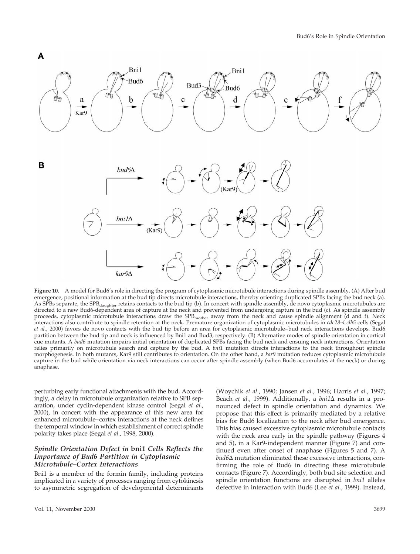

**Figure 10.** A model for Bud6's role in directing the program of cytoplasmic microtubule interactions during spindle assembly. (A) After bud emergence, positional information at the bud tip directs microtubule interactions, thereby orienting duplicated SPBs facing the bud neck (a). As SPBs separate, the SPB<sub>daughter</sub> retains contacts to the bud tip (b). In concert with spindle assembly, de novo cytoplasmic microtubules are directed to a new Bud6-dependent area of capture at the neck and prevented from undergoing capture in the bud (c). As spindle assembly proceeds, cytoplasmic microtubule interactions draw the SPB<sub>mother</sub> away from the neck and cause spindle alignment (d and f). Neck interactions also contribute to spindle retention at the neck. Premature organization of cytoplasmic microtubules in *cdc28-4 clb5* cells (Segal *et al.*, 2000) favors de novo contacts with the bud tip before an area for cytoplasmic microtubule–bud neck interactions develops. Bud6 partition between the bud tip and neck is influenced by Bni1 and Bud3, respectively. (B) Alternative modes of spindle orientation in cortical cue mutants. A *bud6* mutation impairs initial orientation of duplicated SPBs facing the bud neck and ensuing neck interactions. Orientation relies primarily on microtubule search and capture by the bud. A *bni1* mutation directs interactions to the neck throughout spindle morphogenesis. In both mutants, Kar9 still contributes to orientation. On the other hand, a *kar9* mutation reduces cytoplasmic microtubule capture in the bud while orientation via neck interactions can occur after spindle assembly (when Bud6 accumulates at the neck) or during anaphase.

perturbing early functional attachments with the bud. Accordingly, a delay in microtubule organization relative to SPB separation, under cyclin-dependent kinase control (Segal *et al.*, 2000), in concert with the appearance of this new area for enhanced microtubule–cortex interactions at the neck defines the temporal window in which establishment of correct spindle polarity takes place (Segal *et al.*, 1998, 2000).

# *Spindle Orientation Defect in* **bni1** *Cells Reflects the Importance of Bud6 Partition in Cytoplasmic Microtubule–Cortex Interactions*

Bni1 is a member of the formin family, including proteins implicated in a variety of processes ranging from cytokinesis to asymmetric segregation of developmental determinants

(Woychik *et al.*, 1990; Jansen *et al.*, 1996; Harris *et al.*, 1997; Beach *et al.*, 1999). Additionally, a *bni1*∆ results in a pronounced defect in spindle orientation and dynamics. We propose that this effect is primarily mediated by a relative bias for Bud6 localization to the neck after bud emergence. This bias caused excessive cytoplasmic microtubule contacts with the neck area early in the spindle pathway (Figures 4 and 5), in a Kar9-independent manner (Figure 7) and continued even after onset of anaphase (Figures 5 and 7). A *bud6*∆ mutation eliminated these excessive interactions, confirming the role of Bud6 in directing these microtubule contacts (Figure 7). Accordingly, both bud site selection and spindle orientation functions are disrupted in *bni1* alleles defective in interaction with Bud6 (Lee *et al.*, 1999). Instead,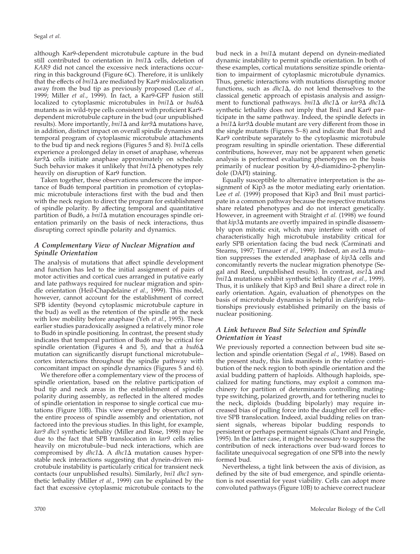although Kar9-dependent microtubule capture in the bud still contributed to orientation in *bni*1 $\Delta$  cells, deletion of *KAR9* did not cancel the excessive neck interactions occurring in this background (Figure 6C). Therefore, it is unlikely that the effects of  $\frac{bni1}{\Delta}$  are mediated by Kar<sup>9</sup> mislocalization away from the bud tip as previously proposed (Lee *et al.*, 1999; Miller *et al.*, 1999). In fact, a Kar9-GFP fusion still localized to cytoplasmic microtubules in  $\text{bni1}\Delta$  or  $\text{bud6}\Delta$ mutants as in wild-type cells consistent with proficient Kar9 dependent microtubule capture in the bud (our unpublished results). More importantly, *bni1*D and *kar9*D mutations have, in addition, distinct impact on overall spindle dynamics and temporal program of cytoplasmic microtubule attachments to the bud tip and neck regions (Figures 5 and 8). *bni1*D cells experience a prolonged delay in onset of anaphase, whereas *kar9*D cells initiate anaphase approximately on schedule. Such behavior makes it unlikely that  $bni1\Delta$  phenotypes rely heavily on disruption of Kar9 function.

Taken together, these observations underscore the importance of Bud6 temporal partition in promotion of cytoplasmic microtubule interactions first with the bud and then with the neck region to direct the program for establishment of spindle polarity. By affecting temporal and quantitative partition of Bud6, a  $\text{b}$ ni1 $\Delta$  mutation encourages spindle orientation primarily on the basis of neck interactions, thus disrupting correct spindle polarity and dynamics.

# *A Complementary View of Nuclear Migration and Spindle Orientation*

The analysis of mutations that affect spindle development and function has led to the initial assignment of pairs of motor activities and cortical cues arranged in putative early and late pathways required for nuclear migration and spindle orientation (Heil-Chapdelaine *et al.*, 1999). This model, however, cannot account for the establishment of correct SPB identity (beyond cytoplasmic microtubule capture in the bud) as well as the retention of the spindle at the neck with low mobility before anaphase (Yeh *et al.*, 1995). These earlier studies paradoxically assigned a relatively minor role to Bud6 in spindle positioning. In contrast, the present study indicates that temporal partition of Bud6 may be critical for spindle orientation (Figures 4 and 5), and that a  $bud6\Delta$ mutation can significantly disrupt functional microtubule– cortex interactions throughout the spindle pathway with concomitant impact on spindle dynamics (Figures 5 and 6).

We therefore offer a complementary view of the process of spindle orientation, based on the relative participation of bud tip and neck areas in the establishment of spindle polarity during assembly, as reflected in the altered modes of spindle orientation in response to single cortical cue mutations (Figure 10B). This view emerged by observation of the entire process of spindle assembly and orientation, not factored into the previous studies. In this light, for example, *kar9 dhc1* synthetic lethality (Miller and Rose, 1998) may be due to the fact that SPB translocation in *kar9* cells relies heavily on microtubule–bud neck interactions, which are compromised by *dhc1*Δ. A *dhc1*Δ mutation causes hyperstable neck interactions suggesting that dynein-driven microtubule instability is particularly critical for transient neck contacts (our unpublished results). Similarly, *bni1 dhc1* synthetic lethality (Miller *et al.*, 1999) can be explained by the fact that excessive cytoplasmic microtubule contacts to the

bud neck in a *bni1*D mutant depend on dynein-mediated dynamic instability to permit spindle orientation. In both of these examples, cortical mutations sensitize spindle orientation to impairment of cytoplasmic microtubule dynamics. Thus, genetic interactions with mutations disrupting motor functions, such as  $dhc1\Delta$ , do not lend themselves to the classical genetic approach of epistasis analysis and assignment to functional pathways. *bni1*D *dhc1*D or *kar9*D *dhc1*D synthetic lethality does not imply that Bni1 and Kar9 participate in the same pathway. Indeed, the spindle defects in a *bni1*D *kar9*D double mutant are very different from those in the single mutants (Figures 5–8) and indicate that Bni1 and Kar9 contribute separately to the cytoplasmic microtubule program resulting in spindle orientation. These differential contributions, however, may not be apparent when genetic analysis is performed evaluating phenotypes on the basis primarily of nuclear position by 4,6-diamidino-2-phenylindole (DAPI) staining.

Equally susceptible to alternative interpretation is the assignment of Kip3 as the motor mediating early orientation. Lee *et al.* (1999) proposed that Kip3 and Bni1 must participate in a common pathway because the respective mutations share related phenotypes and do not interact genetically. However, in agreement with Straight *et al.* (1998) we found that *kip3* $\Delta$  mutants are overtly impaired in spindle disassembly upon mitotic exit, which may interfere with onset of characteristically high microtubule instability critical for early SPB orientation facing the bud neck (Carminati and Stearns, 1997; Tirnauer *et al.*, 1999). Indeed, an *ase1*D mutation suppresses the extended anaphase of  $kip3\Delta$  cells and concomitantly reverts the nuclear migration phenotype (Segal and Reed, unpublished results). In contrast,  $aseI\Delta$  and *bni1*D mutations exhibit synthetic lethality (Lee *et al.*, 1999). Thus, it is unlikely that Kip3 and Bni1 share a direct role in early orientation. Again, evaluation of phenotypes on the basis of microtubule dynamics is helpful in clarifying relationships previously established primarily on the basis of nuclear positioning.

# *A Link between Bud Site Selection and Spindle Orientation in Yeast*

We previously reported a connection between bud site selection and spindle orientation (Segal *et al.*, 1998). Based on the present study, this link manifests in the relative contribution of the neck region to both spindle orientation and the axial budding pattern of haploids. Although haploids, specialized for mating functions, may exploit a common machinery for partition of determinants controlling matingtype switching, polarized growth, and for tethering nuclei to the neck, diploids (budding bipolarly) may require increased bias of pulling force into the daughter cell for effective SPB translocation. Indeed, axial budding relies on transient signals, whereas bipolar budding responds to persistent or perhaps permanent signals (Chant and Pringle, 1995). In the latter case, it might be necessary to suppress the contribution of neck interactions over bud-ward forces to facilitate unequivocal segregation of one SPB into the newly formed bud.

Nevertheless, a tight link between the axis of division, as defined by the site of bud emergence, and spindle orientation is not essential for yeast viability. Cells can adopt more convoluted pathways (Figure 10B) to achieve correct nuclear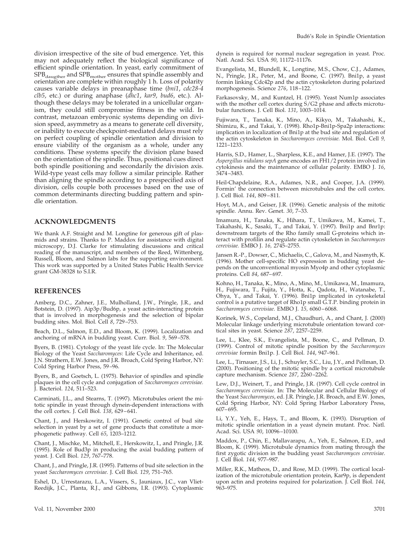division irrespective of the site of bud emergence. Yet, this may not adequately reflect the biological significance of efficient spindle orientation. In yeast, early commitment of  $SPB_{\text{daugther}}$  and  $SPB_{\text{mother}}$  ensures that spindle assembly and orientation are complete within roughly 1 h. Loss of polarity causes variable delays in preanaphase time (*bni1*, *cdc28-4 clb5*, etc.) or during anaphase (*dhc1*, *kar9*, *bud6*, etc.). Although these delays may be tolerated in a unicellular organism, they could still compromise fitness in the wild. In contrast, metazoan embryonic systems depending on division speed, asymmetry as a means to generate cell diversity, or inability to execute checkpoint-mediated delays must rely on perfect coupling of spindle orientation and division to ensure viability of the organism as a whole, under any conditions. These systems specify the division plane based on the orientation of the spindle. Thus, positional cues direct both spindle positioning and secondarily the division axis. Wild-type yeast cells may follow a similar principle. Rather than aligning the spindle according to a prespecified axis of division, cells couple both processes based on the use of common determinants directing budding pattern and spindle orientation.

#### **ACKNOWLEDGMENTS**

We thank A.F. Straight and M. Longtine for generous gift of plasmids and strains. Thanks to P. Maddox for assistance with digital microscopy, D.J. Clarke for stimulating discussions and critical reading of the manuscript, and members of the Reed, Wittenberg, Russell, Bloom, and Salmon labs for the supporting environment. This work was supported by a United States Public Health Service grant GM-38328 to S.I.R.

#### **REFERENCES**

Amberg, D.C., Zahner, J.E., Mulholland, J.W., Pringle, J.R., and Botstein, D. (1997). Aip3p/Bud6p, a yeast actin-interacting protein that is involved in morphogenesis and the selection of bipolar budding sites. Mol. Biol. Cell *8*, 729–753.

Beach, D.L., Salmon, E.D., and Bloom, K. (1999). Localization and anchoring of mRNA in budding yeast. Curr. Biol. *9*, 569–578.

Byers, B. (1981). Cytology of the yeast life cycle. In: The Molecular Biology of the Yeast *Saccharomyces*: Life Cycle and Inheritance, ed. J.N. Strathern, E.W. Jones, and J.R. Broach, Cold Spring Harbor, NY: Cold Spring Harbor Press, 59–96.

Byers, B., and Goetsch, L. (1975). Behavior of spindles and spindle plaques in the cell cycle and conjugation of *Saccharomyces cerevisiae.* J. Bacteriol. *124*, 511–523.

Carminati, J.L., and Stearns, T. (1997). Microtubules orient the mitotic spindle in yeast through dynein-dependent interactions with the cell cortex. J. Cell Biol. *138*, 629–641.

Chant, J., and Herskowitz, I. (1991). Genetic control of bud site selection in yeast by a set of gene products that constitute a morphogenetic pathway. Cell *65*, 1203–1212.

Chant, J., Mischke, M., Mitchell, E., Herskowitz, I., and Pringle, J.R. (1995). Role of Bud3p in producing the axial budding pattern of yeast. J. Cell Biol. *129*, 767–778.

Chant, J., and Pringle, J.R. (1995). Patterns of bud site selection in the yeast *Saccharomyces cerevisiae.* J. Cell Biol. *129*, 751–765.

Eshel, D., Urrestarazu, L.A., Vissers, S., Jauniaux, J.C., van Vliet-Reedijk, J.C., Planta, R.J., and Gibbons, I.R. (1993). Cytoplasmic dynein is required for normal nuclear segregation in yeast. Proc. Natl. Acad. Sci. USA *90*, 11172–11176.

Evangelista, M., Blundell, K., Longtine, M.S., Chow, C.J., Adames, N., Pringle, J.R., Peter, M., and Boone, C. (1997). Bni1p, a yeast formin linking Cdc42p and the actin cytoskeleton during polarized morphogenesis. Science *276*, 118–122.

Farkasovsky, M., and Kuntzel, H. (1995). Yeast Num1p associates with the mother cell cortex during S/G2 phase and affects microtubular functions. J. Cell Biol. *131*, 1003–1014.

Fujiwara, T., Tanaka, K., Mino, A., Kikyo, M., Takahashi, K., Shimizu, K., and Takai, Y. (1998). Rho1p-Bni1p-Spa2p interactions: implication in localization of Bni1p at the bud site and regulation of the actin cytoskeleton in *Saccharomyces cerevisiae.* Mol. Biol. Cell *9,* 1221–1233.

Harris, S.D., Hamer, L., Sharpless, K.E., and Hamer, J.E. (1997). The *Aspergillus nidulans sepA* gene encodes an FH1/2 protein involved in cytokinesis and the maintenance of cellular polarity. EMBO J. *16*, 3474–3483.

Heil-Chapdelaine, R.A., Adames, N.R., and Cooper, J.A. (1999). Formin' the connection between microtubules and the cell cortex. J. Cell Biol. *144*, 809–811.

Hoyt, M.A., and Geiser, J.R. (1996). Genetic analysis of the mitotic spindle. Annu. Rev. Genet. *30*, 7–33.

Imamura, H., Tanaka, K., Hihara, T., Umikawa, M., Kamei, T., Takahashi, K., Sasaki, T., and Takai, Y. (1997). Bni1p and Bnr1p: downstream targets of the Rho family small G-proteins which interact with profilin and regulate actin cytoskeleton in *Saccharomyces cerevisiae.* EMBO J. *16,* 2745–2755.

Jansen R.-P., Dowser, C., Michaelis, C., Galova, M., and Nasmyth, K. (1996). Mother cell-specific HO expression in budding yeast depends on the unconventional myosin Myo4p and other cytoplasmic proteins. Cell *84*, 687–697.

Kohno, H., Tanaka, K., Mino, A., Mino, M., Umikawa, M., Imamura, H., Fujiwara, T., Fujita, Y., Hotta, K., Qadota, H., Watanabe, T., Ohya, Y., and Takai, Y. (1996). Bni1p implicated in cytoskeletal control is a putative target of Rho1p small G.T.P. binding protein in *Saccharomyces cerevisiae.* EMBO J. *15,* 6060–6068.

Korinek, W.S., Copeland, M.J., Chaudhuri, A., and Chant, J. (2000) Molecular linkage underlying microtubule orientation toward cortical sites in yeast. Science *287*, 2257–2259.

Lee, L., Klee, S.K., Evangelista, M., Boone, C., and Pellman, D. (1999). Control of mitotic spindle position by the *Saccharomyces cerevisiae* formin Bni1p. J. Cell Biol. *144*, 947–961.

Lee, L., Tirnauer, J.S., Li, J., Schuyler, S.C., Liu, J.Y., and Pellman, D. (2000). Positioning of the mitotic spindle by a cortical microtubule capture mechanism. Science *287*, 2260–2262.

Lew, D.J., Weinert, T., and Pringle, J.R. (1997). Cell cycle control in *Saccharomyces cerevisiae.* In: The Molecular and Cellular Biology of the Yeast *Saccharomyces*, ed. J.R. Pringle, J.R. Broach, and E.W. Jones, Cold Spring Harbor, NY: Cold Spring Harbor Laboratory Press, 607–695.

Li, Y.Y., Yeh, E., Hays, T., and Bloom, K. (1993). Disruption of mitotic spindle orientation in a yeast dynein mutant. Proc. Natl. Acad. Sci. USA *90*, 10096–10100.

Maddox, P., Chin, E., Mallavarapu, A., Yeh, E., Salmon, E.D., and Bloom, K. (1999). Microtubule dynamics from mating through the first zygotic division in the budding yeast *Saccharomyces cerevisiae*. J. Cell Biol. *144*, 977–987.

Miller, R.K., Matheos, D., and Rose, M.D. (1999). The cortical localization of the microtubule orientation protein, Kar9p, is dependent upon actin and proteins required for polarization. J. Cell Biol. *144*, 963–975.